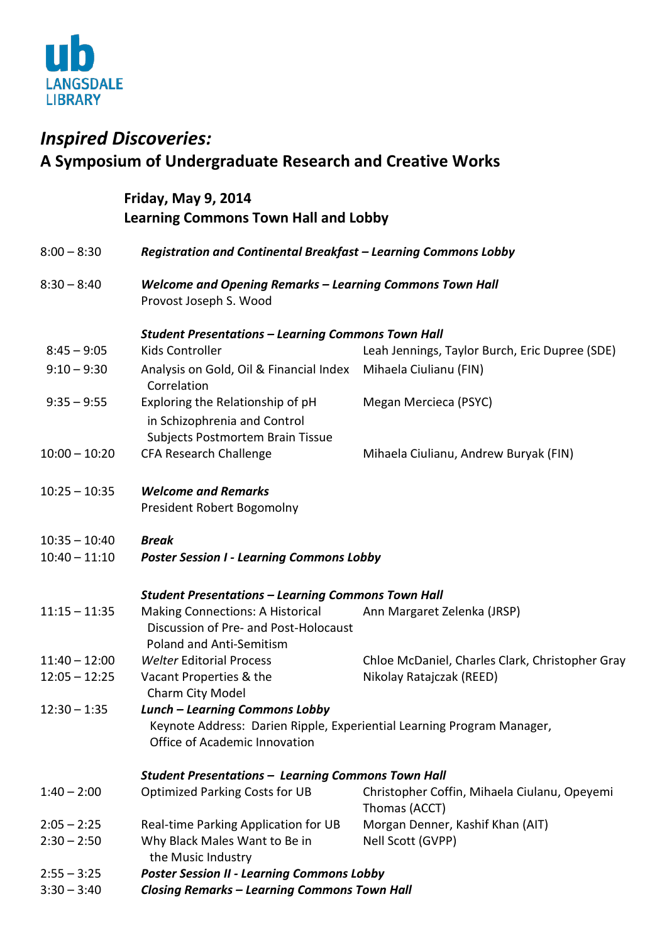

## *Inspired Discoveries:* **A Symposium of Undergraduate Research and Creative Works**

## **Friday, May 9, 2014 Learning Commons Town Hall and Lobby**

| $8:00 - 8:30$   | Registration and Continental Breakfast - Learning Commons Lobby                                                                                  |                                                               |  |
|-----------------|--------------------------------------------------------------------------------------------------------------------------------------------------|---------------------------------------------------------------|--|
| $8:30 - 8:40$   | <b>Welcome and Opening Remarks - Learning Commons Town Hall</b><br>Provost Joseph S. Wood                                                        |                                                               |  |
|                 | <b>Student Presentations - Learning Commons Town Hall</b>                                                                                        |                                                               |  |
| $8:45 - 9:05$   | Kids Controller                                                                                                                                  | Leah Jennings, Taylor Burch, Eric Dupree (SDE)                |  |
| $9:10 - 9:30$   | Analysis on Gold, Oil & Financial Index Mihaela Ciulianu (FIN)<br>Correlation                                                                    |                                                               |  |
| $9:35 - 9:55$   | Exploring the Relationship of pH<br>in Schizophrenia and Control<br>Subjects Postmortem Brain Tissue                                             | Megan Mercieca (PSYC)                                         |  |
| $10:00 - 10:20$ | <b>CFA Research Challenge</b>                                                                                                                    | Mihaela Ciulianu, Andrew Buryak (FIN)                         |  |
| $10:25 - 10:35$ | <b>Welcome and Remarks</b><br>President Robert Bogomolny                                                                                         |                                                               |  |
| $10:35 - 10:40$ | <b>Break</b>                                                                                                                                     |                                                               |  |
| $10:40 - 11:10$ | <b>Poster Session I - Learning Commons Lobby</b>                                                                                                 |                                                               |  |
|                 | <b>Student Presentations - Learning Commons Town Hall</b>                                                                                        |                                                               |  |
| $11:15 - 11:35$ | <b>Making Connections: A Historical</b><br>Discussion of Pre- and Post-Holocaust<br>Poland and Anti-Semitism                                     | Ann Margaret Zelenka (JRSP)                                   |  |
| $11:40 - 12:00$ | <b>Welter Editorial Process</b>                                                                                                                  | Chloe McDaniel, Charles Clark, Christopher Gray               |  |
| $12:05 - 12:25$ | Vacant Properties & the<br>Charm City Model                                                                                                      | Nikolay Ratajczak (REED)                                      |  |
| $12:30 - 1:35$  | <b>Lunch - Learning Commons Lobby</b><br>Keynote Address: Darien Ripple, Experiential Learning Program Manager,<br>Office of Academic Innovation |                                                               |  |
|                 | <b>Student Presentations - Learning Commons Town Hall</b>                                                                                        |                                                               |  |
| $1:40 - 2:00$   | <b>Optimized Parking Costs for UB</b>                                                                                                            | Christopher Coffin, Mihaela Ciulanu, Opeyemi<br>Thomas (ACCT) |  |
| $2:05 - 2:25$   | Real-time Parking Application for UB                                                                                                             | Morgan Denner, Kashif Khan (AIT)                              |  |
| $2:30 - 2:50$   | Why Black Males Want to Be in<br>the Music Industry                                                                                              | Nell Scott (GVPP)                                             |  |
| $2:55 - 3:25$   | <b>Poster Session II - Learning Commons Lobby</b>                                                                                                |                                                               |  |
| $3:30 - 3:40$   | <b>Closing Remarks - Learning Commons Town Hall</b>                                                                                              |                                                               |  |